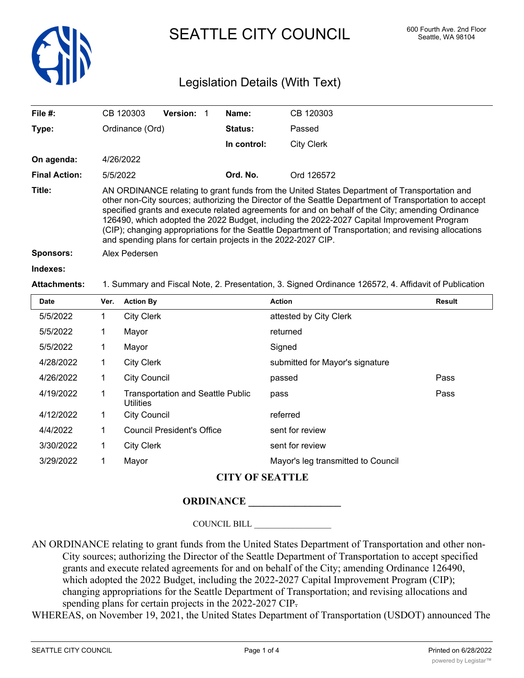

SEATTLE CITY COUNCIL 600 Fourth Ave. 2nd Floor

# Legislation Details (With Text)

| File $#$ :           | CB 120303                                                                                                                                                                                                                                                                                                                                                                                                                                                                                                                                                                           | <b>Version:</b> | Name:       | CB 120303         |  |
|----------------------|-------------------------------------------------------------------------------------------------------------------------------------------------------------------------------------------------------------------------------------------------------------------------------------------------------------------------------------------------------------------------------------------------------------------------------------------------------------------------------------------------------------------------------------------------------------------------------------|-----------------|-------------|-------------------|--|
| Type:                | Ordinance (Ord)                                                                                                                                                                                                                                                                                                                                                                                                                                                                                                                                                                     |                 | Status:     | Passed            |  |
|                      |                                                                                                                                                                                                                                                                                                                                                                                                                                                                                                                                                                                     |                 | In control: | <b>City Clerk</b> |  |
| On agenda:           | 4/26/2022                                                                                                                                                                                                                                                                                                                                                                                                                                                                                                                                                                           |                 |             |                   |  |
| <b>Final Action:</b> | 5/5/2022                                                                                                                                                                                                                                                                                                                                                                                                                                                                                                                                                                            |                 | Ord. No.    | Ord 126572        |  |
| Title:               | AN ORDINANCE relating to grant funds from the United States Department of Transportation and<br>other non-City sources; authorizing the Director of the Seattle Department of Transportation to accept<br>specified grants and execute related agreements for and on behalf of the City; amending Ordinance<br>126490, which adopted the 2022 Budget, including the 2022-2027 Capital Improvement Program<br>(CIP); changing appropriations for the Seattle Department of Transportation; and revising allocations<br>and spending plans for certain projects in the 2022-2027 CIP. |                 |             |                   |  |
| Sponsors:            | Alex Pedersen                                                                                                                                                                                                                                                                                                                                                                                                                                                                                                                                                                       |                 |             |                   |  |
| Indexes:             |                                                                                                                                                                                                                                                                                                                                                                                                                                                                                                                                                                                     |                 |             |                   |  |

#### **Attachments:** 1. Summary and Fiscal Note, 2. Presentation, 3. Signed Ordinance 126572, 4. Affidavit of Publication

| <b>Date</b> | Ver. | <b>Action By</b>                                             | <b>Action</b>                      | Result |
|-------------|------|--------------------------------------------------------------|------------------------------------|--------|
| 5/5/2022    | 1    | <b>City Clerk</b>                                            | attested by City Clerk             |        |
| 5/5/2022    | 1    | Mayor                                                        | returned                           |        |
| 5/5/2022    | 1    | Mayor                                                        | Signed                             |        |
| 4/28/2022   | 1    | <b>City Clerk</b>                                            | submitted for Mayor's signature    |        |
| 4/26/2022   | 1    | <b>City Council</b>                                          | passed                             | Pass   |
| 4/19/2022   |      | <b>Transportation and Seattle Public</b><br><b>Utilities</b> | pass                               | Pass   |
| 4/12/2022   | 1    | <b>City Council</b>                                          | referred                           |        |
| 4/4/2022    | 1    | <b>Council President's Office</b>                            | sent for review                    |        |
| 3/30/2022   | 1    | <b>City Clerk</b>                                            | sent for review                    |        |
| 3/29/2022   |      | Mayor                                                        | Mayor's leg transmitted to Council |        |

### **CITY OF SEATTLE**

# **ORDINANCE \_\_\_\_\_\_\_\_\_\_\_\_\_\_\_\_\_\_**

COUNCIL BILL \_\_\_\_\_\_\_\_\_\_\_\_\_\_\_\_\_\_

AN ORDINANCE relating to grant funds from the United States Department of Transportation and other non-City sources; authorizing the Director of the Seattle Department of Transportation to accept specified grants and execute related agreements for and on behalf of the City; amending Ordinance 126490, which adopted the 2022 Budget, including the 2022-2027 Capital Improvement Program (CIP); changing appropriations for the Seattle Department of Transportation; and revising allocations and spending plans for certain projects in the 2022-2027 CIP.

WHEREAS, on November 19, 2021, the United States Department of Transportation (USDOT) announced The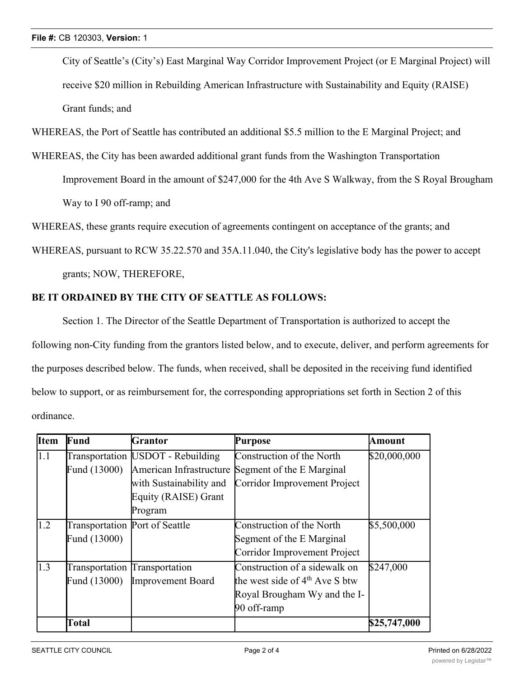City of Seattle's (City's) East Marginal Way Corridor Improvement Project (or E Marginal Project) will receive \$20 million in Rebuilding American Infrastructure with Sustainability and Equity (RAISE) Grant funds; and

WHEREAS, the Port of Seattle has contributed an additional \$5.5 million to the E Marginal Project; and

WHEREAS, the City has been awarded additional grant funds from the Washington Transportation Improvement Board in the amount of \$247,000 for the 4th Ave S Walkway, from the S Royal Brougham Way to I 90 off-ramp; and

WHEREAS, these grants require execution of agreements contingent on acceptance of the grants; and

WHEREAS, pursuant to RCW 35.22.570 and 35A.11.040, the City's legislative body has the power to accept grants; NOW, THEREFORE,

# **BE IT ORDAINED BY THE CITY OF SEATTLE AS FOLLOWS:**

Section 1. The Director of the Seattle Department of Transportation is authorized to accept the following non-City funding from the grantors listed below, and to execute, deliver, and perform agreements for the purposes described below. The funds, when received, shall be deposited in the receiving fund identified below to support, or as reimbursement for, the corresponding appropriations set forth in Section 2 of this ordinance.

| <b>I</b> tem | Fund                                           | Grantor                                                                                                                     | Purpose                                                                                                          | Amount       |
|--------------|------------------------------------------------|-----------------------------------------------------------------------------------------------------------------------------|------------------------------------------------------------------------------------------------------------------|--------------|
| 1.1          | Fund (13000)                                   | Transportation [USDOT - Rebuilding<br>American Infrastructure<br>with Sustainability and<br>Equity (RAISE) Grant<br>Program | Construction of the North<br>Segment of the E Marginal<br>Corridor Improvement Project                           | \$20,000,000 |
| 1.2          | Transportation Port of Seattle<br>Fund (13000) |                                                                                                                             | Construction of the North<br>Segment of the E Marginal<br>Corridor Improvement Project                           | \$5,500,000  |
| 1.3          | Transportation Transportation<br>Fund (13000)  | Improvement Board                                                                                                           | Construction of a sidewalk on<br>the west side of $4th$ Ave S btw<br>Royal Brougham Wy and the I-<br>90 off-ramp | \$247,000    |
|              | Total                                          |                                                                                                                             |                                                                                                                  | \$25,747,000 |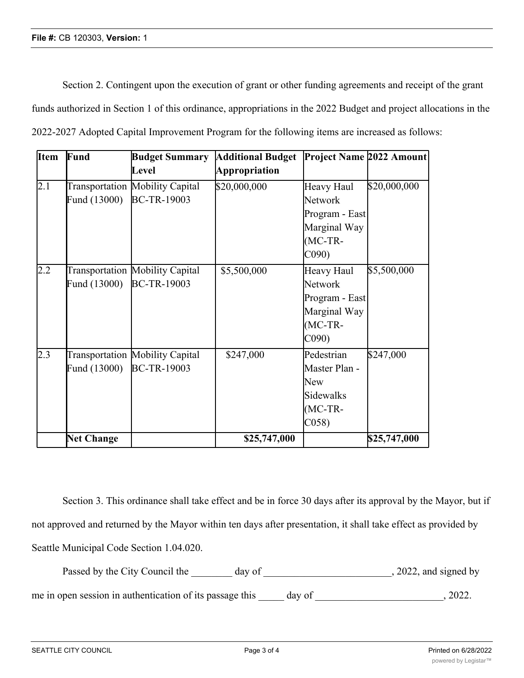Section 2. Contingent upon the execution of grant or other funding agreements and receipt of the grant funds authorized in Section 1 of this ordinance, appropriations in the 2022 Budget and project allocations in the 2022-2027 Adopted Capital Improvement Program for the following items are increased as follows:

| <b>Item</b> | Fund              | <b>Budget Summary</b>                                 | <b>Additional Budget</b> | Project Name 2022 Amount                                                                 |              |
|-------------|-------------------|-------------------------------------------------------|--------------------------|------------------------------------------------------------------------------------------|--------------|
|             |                   | Level                                                 | Appropriation            |                                                                                          |              |
| 2.1         | Fund (13000)      | Transportation Mobility Capital<br><b>BC-TR-19003</b> | \$20,000,000             | Heavy Haul<br>Network<br>Program - East<br>Marginal Way<br>$(MC-TR-$<br>C <sub>090</sub> | \$20,000,000 |
| 2.2         | Fund (13000)      | Transportation Mobility Capital<br><b>BC-TR-19003</b> | \$5,500,000              | Heavy Haul<br>Network<br>Program - East<br>Marginal Way<br>$(MC-TR-$<br>C <sub>090</sub> | \$5,500,000  |
| 2.3         | Fund (13000)      | Transportation Mobility Capital<br><b>BC-TR-19003</b> | \$247,000                | Pedestrian<br>Master Plan -<br>New<br><b>Sidewalks</b><br>$(MC-TR-$<br>C(058)            | \$247,000    |
|             | <b>Net Change</b> |                                                       | \$25,747,000             |                                                                                          | \$25,747,000 |

Section 3. This ordinance shall take effect and be in force 30 days after its approval by the Mayor, but if not approved and returned by the Mayor within ten days after presentation, it shall take effect as provided by Seattle Municipal Code Section 1.04.020.

Passed by the City Council the day of the case of the council the day of the case of the case of the council the day of the case of the case of the case of the case of the case of the case of the case of the case of the ca

me in open session in authentication of its passage this \_\_\_\_\_ day of \_\_\_\_\_\_\_\_\_\_\_\_\_\_\_\_\_\_\_\_\_\_\_\_\_\_\_\_\_, 2022.